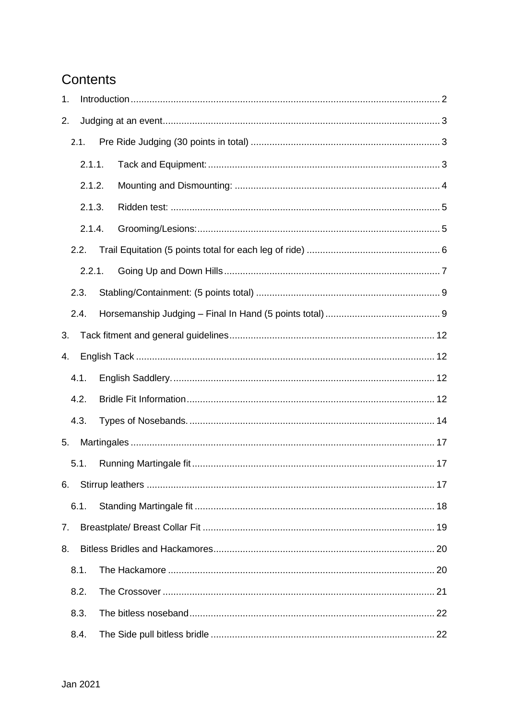# Contents

| 1. |                  |  |  |  |
|----|------------------|--|--|--|
| 2. |                  |  |  |  |
|    | 2.1.             |  |  |  |
|    | 2.1.1.           |  |  |  |
|    | 2.1.2.<br>2.1.3. |  |  |  |
|    |                  |  |  |  |
|    | 2.1.4.           |  |  |  |
|    | 2.2.             |  |  |  |
|    | 2.2.1.           |  |  |  |
|    | 2.3.             |  |  |  |
|    | 2.4.             |  |  |  |
| 3. |                  |  |  |  |
| 4. |                  |  |  |  |
|    | 4.1.             |  |  |  |
|    | 4.2.             |  |  |  |
|    | 4.3.             |  |  |  |
| 5. |                  |  |  |  |
|    | 5.1.             |  |  |  |
| 6. |                  |  |  |  |
|    | 6.1.             |  |  |  |
| 7. |                  |  |  |  |
| 8. |                  |  |  |  |
|    | 8.1.             |  |  |  |
|    | 8.2.             |  |  |  |
|    | 8.3.             |  |  |  |
|    | 8.4.             |  |  |  |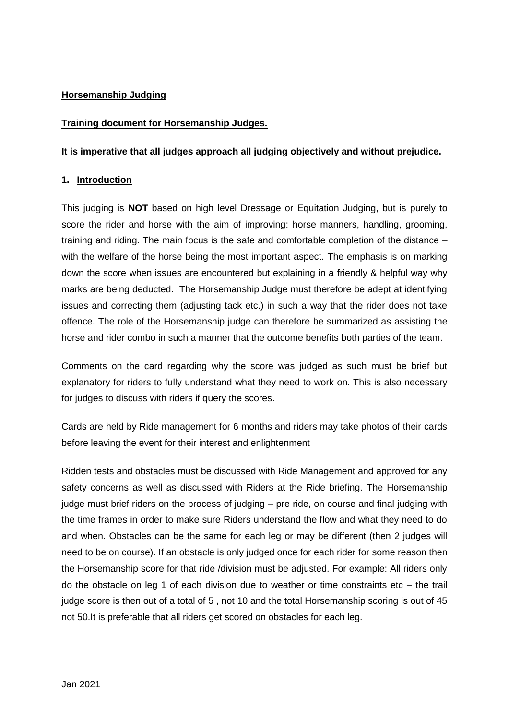# **Horsemanship Judging**

#### **Training document for Horsemanship Judges.**

**It is imperative that all judges approach all judging objectively and without prejudice.**

#### <span id="page-1-0"></span>**1. Introduction**

This judging is **NOT** based on high level Dressage or Equitation Judging, but is purely to score the rider and horse with the aim of improving: horse manners, handling, grooming, training and riding. The main focus is the safe and comfortable completion of the distance – with the welfare of the horse being the most important aspect. The emphasis is on marking down the score when issues are encountered but explaining in a friendly & helpful way why marks are being deducted. The Horsemanship Judge must therefore be adept at identifying issues and correcting them (adjusting tack etc.) in such a way that the rider does not take offence. The role of the Horsemanship judge can therefore be summarized as assisting the horse and rider combo in such a manner that the outcome benefits both parties of the team.

Comments on the card regarding why the score was judged as such must be brief but explanatory for riders to fully understand what they need to work on. This is also necessary for judges to discuss with riders if query the scores.

Cards are held by Ride management for 6 months and riders may take photos of their cards before leaving the event for their interest and enlightenment

Ridden tests and obstacles must be discussed with Ride Management and approved for any safety concerns as well as discussed with Riders at the Ride briefing. The Horsemanship judge must brief riders on the process of judging – pre ride, on course and final judging with the time frames in order to make sure Riders understand the flow and what they need to do and when. Obstacles can be the same for each leg or may be different (then 2 judges will need to be on course). If an obstacle is only judged once for each rider for some reason then the Horsemanship score for that ride /division must be adjusted. For example: All riders only do the obstacle on leg 1 of each division due to weather or time constraints etc – the trail judge score is then out of a total of 5 , not 10 and the total Horsemanship scoring is out of 45 not 50.It is preferable that all riders get scored on obstacles for each leg.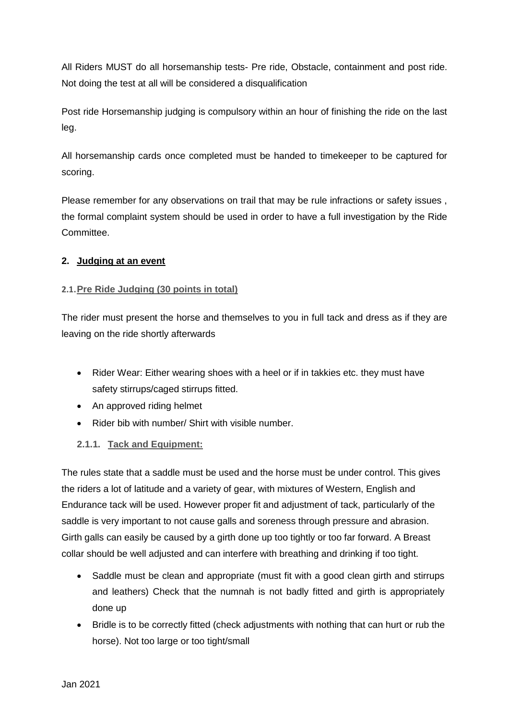All Riders MUST do all horsemanship tests- Pre ride, Obstacle, containment and post ride. Not doing the test at all will be considered a disqualification

Post ride Horsemanship judging is compulsory within an hour of finishing the ride on the last leg.

All horsemanship cards once completed must be handed to timekeeper to be captured for scoring.

Please remember for any observations on trail that may be rule infractions or safety issues , the formal complaint system should be used in order to have a full investigation by the Ride Committee.

# <span id="page-2-0"></span>**2. Judging at an event**

# <span id="page-2-1"></span>**2.1.Pre Ride Judging (30 points in total)**

The rider must present the horse and themselves to you in full tack and dress as if they are leaving on the ride shortly afterwards

- Rider Wear: Either wearing shoes with a heel or if in takkies etc. they must have safety stirrups/caged stirrups fitted.
- An approved riding helmet
- Rider bib with number/ Shirt with visible number.
- <span id="page-2-2"></span>**2.1.1. Tack and Equipment:**

The rules state that a saddle must be used and the horse must be under control. This gives the riders a lot of latitude and a variety of gear, with mixtures of Western, English and Endurance tack will be used. However proper fit and adjustment of tack, particularly of the saddle is very important to not cause galls and soreness through pressure and abrasion. Girth galls can easily be caused by a girth done up too tightly or too far forward. A Breast collar should be well adjusted and can interfere with breathing and drinking if too tight.

- Saddle must be clean and appropriate (must fit with a good clean girth and stirrups and leathers) Check that the numnah is not badly fitted and girth is appropriately done up
- Bridle is to be correctly fitted (check adjustments with nothing that can hurt or rub the horse). Not too large or too tight/small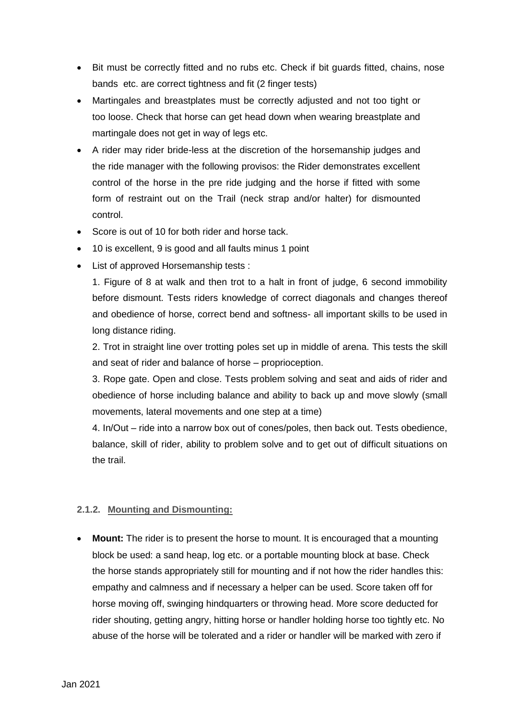- Bit must be correctly fitted and no rubs etc. Check if bit guards fitted, chains, nose bands etc. are correct tightness and fit (2 finger tests)
- Martingales and breastplates must be correctly adjusted and not too tight or too loose. Check that horse can get head down when wearing breastplate and martingale does not get in way of legs etc.
- A rider may rider bride-less at the discretion of the horsemanship judges and the ride manager with the following provisos: the Rider demonstrates excellent control of the horse in the pre ride judging and the horse if fitted with some form of restraint out on the Trail (neck strap and/or halter) for dismounted control.
- Score is out of 10 for both rider and horse tack.
- 10 is excellent, 9 is good and all faults minus 1 point
- List of approved Horsemanship tests :

1. Figure of 8 at walk and then trot to a halt in front of judge, 6 second immobility before dismount. Tests riders knowledge of correct diagonals and changes thereof and obedience of horse, correct bend and softness- all important skills to be used in long distance riding.

2. Trot in straight line over trotting poles set up in middle of arena. This tests the skill and seat of rider and balance of horse – proprioception.

3. Rope gate. Open and close. Tests problem solving and seat and aids of rider and obedience of horse including balance and ability to back up and move slowly (small movements, lateral movements and one step at a time)

4. In/Out – ride into a narrow box out of cones/poles, then back out. Tests obedience, balance, skill of rider, ability to problem solve and to get out of difficult situations on the trail.

#### <span id="page-3-0"></span>**2.1.2. Mounting and Dismounting:**

 **Mount:** The rider is to present the horse to mount. It is encouraged that a mounting block be used: a sand heap, log etc. or a portable mounting block at base. Check the horse stands appropriately still for mounting and if not how the rider handles this: empathy and calmness and if necessary a helper can be used. Score taken off for horse moving off, swinging hindquarters or throwing head. More score deducted for rider shouting, getting angry, hitting horse or handler holding horse too tightly etc. No abuse of the horse will be tolerated and a rider or handler will be marked with zero if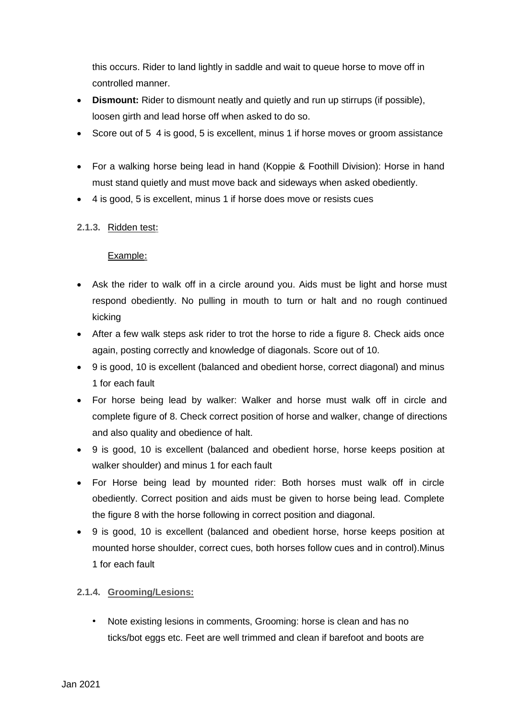this occurs. Rider to land lightly in saddle and wait to queue horse to move off in controlled manner.

- **Dismount:** Rider to dismount neatly and quietly and run up stirrups (if possible), loosen girth and lead horse off when asked to do so.
- Score out of 5 4 is good, 5 is excellent, minus 1 if horse moves or groom assistance
- For a walking horse being lead in hand (Koppie & Foothill Division): Horse in hand must stand quietly and must move back and sideways when asked obediently.
- 4 is good, 5 is excellent, minus 1 if horse does move or resists cues

# <span id="page-4-0"></span>**2.1.3.** Ridden test**:**

# Example**:**

- Ask the rider to walk off in a circle around you. Aids must be light and horse must respond obediently. No pulling in mouth to turn or halt and no rough continued kicking
- After a few walk steps ask rider to trot the horse to ride a figure 8. Check aids once again, posting correctly and knowledge of diagonals. Score out of 10.
- 9 is good, 10 is excellent (balanced and obedient horse, correct diagonal) and minus 1 for each fault
- For horse being lead by walker: Walker and horse must walk off in circle and complete figure of 8. Check correct position of horse and walker, change of directions and also quality and obedience of halt.
- 9 is good, 10 is excellent (balanced and obedient horse, horse keeps position at walker shoulder) and minus 1 for each fault
- For Horse being lead by mounted rider: Both horses must walk off in circle obediently. Correct position and aids must be given to horse being lead. Complete the figure 8 with the horse following in correct position and diagonal.
- 9 is good, 10 is excellent (balanced and obedient horse, horse keeps position at mounted horse shoulder, correct cues, both horses follow cues and in control).Minus 1 for each fault

# <span id="page-4-1"></span>**2.1.4. Grooming/Lesions:**

• Note existing lesions in comments, Grooming: horse is clean and has no ticks/bot eggs etc. Feet are well trimmed and clean if barefoot and boots are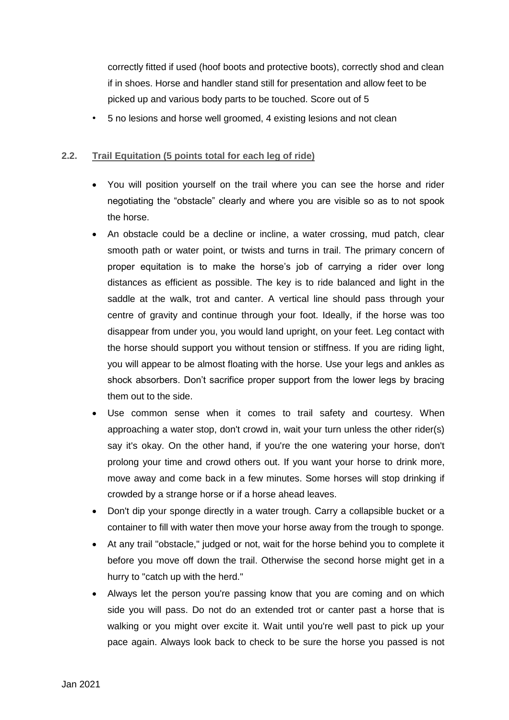correctly fitted if used (hoof boots and protective boots), correctly shod and clean if in shoes. Horse and handler stand still for presentation and allow feet to be picked up and various body parts to be touched. Score out of 5

• 5 no lesions and horse well groomed, 4 existing lesions and not clean

# <span id="page-5-0"></span>**2.2. Trail Equitation (5 points total for each leg of ride)**

- You will position yourself on the trail where you can see the horse and rider negotiating the "obstacle" clearly and where you are visible so as to not spook the horse.
- An obstacle could be a decline or incline, a water crossing, mud patch, clear smooth path or water point, or twists and turns in trail. The primary concern of proper equitation is to make the horse's job of carrying a rider over long distances as efficient as possible. The key is to ride balanced and light in the saddle at the walk, trot and canter. A vertical line should pass through your centre of gravity and continue through your foot. Ideally, if the horse was too disappear from under you, you would land upright, on your feet. Leg contact with the horse should support you without tension or stiffness. If you are riding light, you will appear to be almost floating with the horse. Use your legs and ankles as shock absorbers. Don't sacrifice proper support from the lower legs by bracing them out to the side.
- Use common sense when it comes to trail safety and courtesy. When approaching a water stop, don't crowd in, wait your turn unless the other rider(s) say it's okay. On the other hand, if you're the one watering your horse, don't prolong your time and crowd others out. If you want your horse to drink more, move away and come back in a few minutes. Some horses will stop drinking if crowded by a strange horse or if a horse ahead leaves.
- Don't dip your sponge directly in a water trough. Carry a collapsible bucket or a container to fill with water then move your horse away from the trough to sponge.
- At any trail "obstacle," judged or not, wait for the horse behind you to complete it before you move off down the trail. Otherwise the second horse might get in a hurry to "catch up with the herd."
- Always let the person you're passing know that you are coming and on which side you will pass. Do not do an extended trot or canter past a horse that is walking or you might over excite it. Wait until you're well past to pick up your pace again. Always look back to check to be sure the horse you passed is not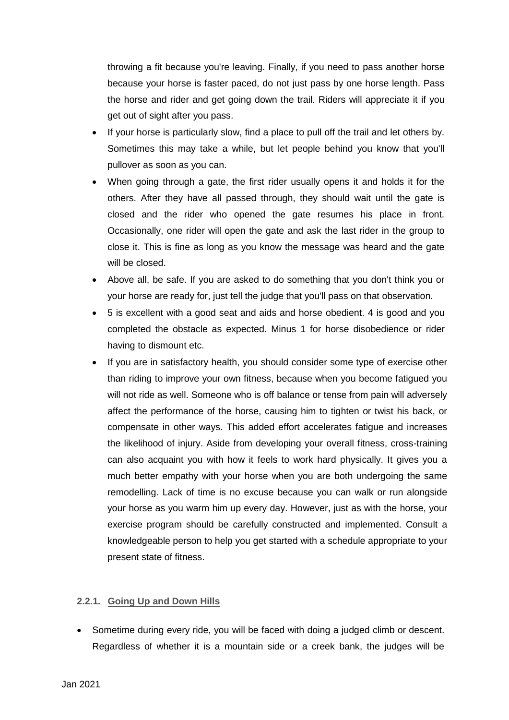throwing a fit because you're leaving. Finally, if you need to pass another horse because your horse is faster paced, do not just pass by one horse length. Pass the horse and rider and get going down the trail. Riders will appreciate it if you get out of sight after you pass.

- If your horse is particularly slow, find a place to pull off the trail and let others by. Sometimes this may take a while, but let people behind you know that you'll pullover as soon as you can.
- When going through a gate, the first rider usually opens it and holds it for the others. After they have all passed through, they should wait until the gate is closed and the rider who opened the gate resumes his place in front. Occasionally, one rider will open the gate and ask the last rider in the group to close it. This is fine as long as you know the message was heard and the gate will be closed.
- Above all, be safe. If you are asked to do something that you don't think you or your horse are ready for, just tell the judge that you'll pass on that observation.
- 5 is excellent with a good seat and aids and horse obedient. 4 is good and you completed the obstacle as expected. Minus 1 for horse disobedience or rider having to dismount etc.
- If you are in satisfactory health, you should consider some type of exercise other than riding to improve your own fitness, because when you become fatigued you will not ride as well. Someone who is off balance or tense from pain will adversely affect the performance of the horse, causing him to tighten or twist his back, or compensate in other ways. This added effort accelerates fatigue and increases the likelihood of injury. Aside from developing your overall fitness, cross-training can also acquaint you with how it feels to work hard physically. It gives you a much better empathy with your horse when you are both undergoing the same remodelling. Lack of time is no excuse because you can walk or run alongside your horse as you warm him up every day. However, just as with the horse, your exercise program should be carefully constructed and implemented. Consult a knowledgeable person to help you get started with a schedule appropriate to your present state of fitness.

#### <span id="page-6-0"></span>**2.2.1. Going Up and Down Hills**

 Sometime during every ride, you will be faced with doing a judged climb or descent. Regardless of whether it is a mountain side or a creek bank, the judges will be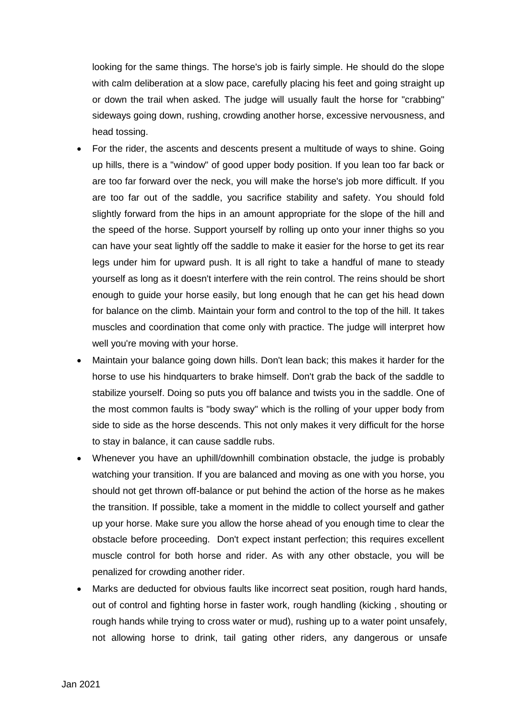looking for the same things. The horse's job is fairly simple. He should do the slope with calm deliberation at a slow pace, carefully placing his feet and going straight up or down the trail when asked. The judge will usually fault the horse for "crabbing" sideways going down, rushing, crowding another horse, excessive nervousness, and head tossing.

- For the rider, the ascents and descents present a multitude of ways to shine. Going up hills, there is a "window" of good upper body position. If you lean too far back or are too far forward over the neck, you will make the horse's job more difficult. If you are too far out of the saddle, you sacrifice stability and safety. You should fold slightly forward from the hips in an amount appropriate for the slope of the hill and the speed of the horse. Support yourself by rolling up onto your inner thighs so you can have your seat lightly off the saddle to make it easier for the horse to get its rear legs under him for upward push. It is all right to take a handful of mane to steady yourself as long as it doesn't interfere with the rein control. The reins should be short enough to guide your horse easily, but long enough that he can get his head down for balance on the climb. Maintain your form and control to the top of the hill. It takes muscles and coordination that come only with practice. The judge will interpret how well you're moving with your horse.
- Maintain your balance going down hills. Don't lean back; this makes it harder for the horse to use his hindquarters to brake himself. Don't grab the back of the saddle to stabilize yourself. Doing so puts you off balance and twists you in the saddle. One of the most common faults is "body sway" which is the rolling of your upper body from side to side as the horse descends. This not only makes it very difficult for the horse to stay in balance, it can cause saddle rubs.
- Whenever you have an uphill/downhill combination obstacle, the judge is probably watching your transition. If you are balanced and moving as one with you horse, you should not get thrown off-balance or put behind the action of the horse as he makes the transition. If possible, take a moment in the middle to collect yourself and gather up your horse. Make sure you allow the horse ahead of you enough time to clear the obstacle before proceeding. Don't expect instant perfection; this requires excellent muscle control for both horse and rider. As with any other obstacle, you will be penalized for crowding another rider.
- Marks are deducted for obvious faults like incorrect seat position, rough hard hands, out of control and fighting horse in faster work, rough handling (kicking , shouting or rough hands while trying to cross water or mud), rushing up to a water point unsafely, not allowing horse to drink, tail gating other riders, any dangerous or unsafe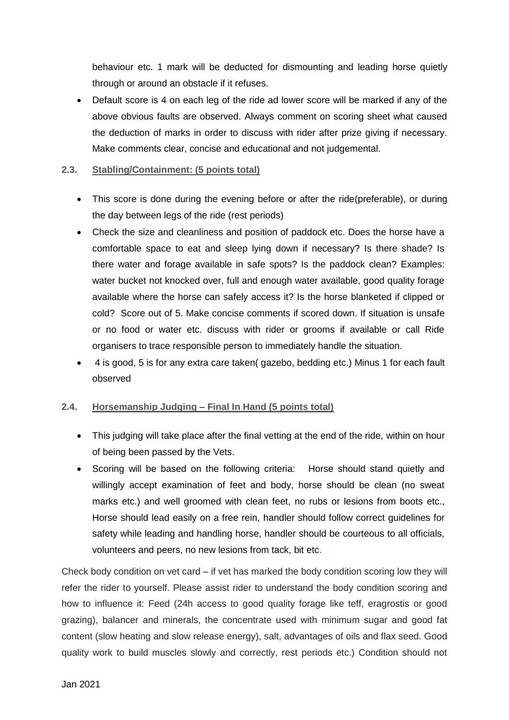behaviour etc. 1 mark will be deducted for dismounting and leading horse quietly through or around an obstacle if it refuses.

 Default score is 4 on each leg of the ride ad lower score will be marked if any of the above obvious faults are observed. Always comment on scoring sheet what caused the deduction of marks in order to discuss with rider after prize giving if necessary. Make comments clear, concise and educational and not judgemental.

## <span id="page-8-0"></span>**2.3. Stabling/Containment: (5 points total)**

- This score is done during the evening before or after the ride(preferable), or during the day between legs of the ride (rest periods)
- Check the size and cleanliness and position of paddock etc. Does the horse have a comfortable space to eat and sleep lying down if necessary? Is there shade? Is there water and forage available in safe spots? Is the paddock clean? Examples: water bucket not knocked over, full and enough water available, good quality forage available where the horse can safely access it? Is the horse blanketed if clipped or cold? Score out of 5. Make concise comments if scored down. If situation is unsafe or no food or water etc. discuss with rider or grooms if available or call Ride organisers to trace responsible person to immediately handle the situation.
- 4 is good, 5 is for any extra care taken( gazebo, bedding etc.) Minus 1 for each fault observed

#### <span id="page-8-1"></span>**2.4. Horsemanship Judging – Final In Hand (5 points total)**

- This judging will take place after the final vetting at the end of the ride, within on hour of being been passed by the Vets.
- Scoring will be based on the following criteria: Horse should stand quietly and willingly accept examination of feet and body, horse should be clean (no sweat marks etc.) and well groomed with clean feet, no rubs or lesions from boots etc., Horse should lead easily on a free rein, handler should follow correct guidelines for safety while leading and handling horse, handler should be courteous to all officials, volunteers and peers, no new lesions from tack, bit etc.

Check body condition on vet card – if vet has marked the body condition scoring low they will refer the rider to yourself. Please assist rider to understand the body condition scoring and how to influence it: Feed (24h access to good quality forage like teff, eragrostis or good grazing), balancer and minerals, the concentrate used with minimum sugar and good fat content (slow heating and slow release energy), salt, advantages of oils and flax seed. Good quality work to build muscles slowly and correctly, rest periods etc.) Condition should not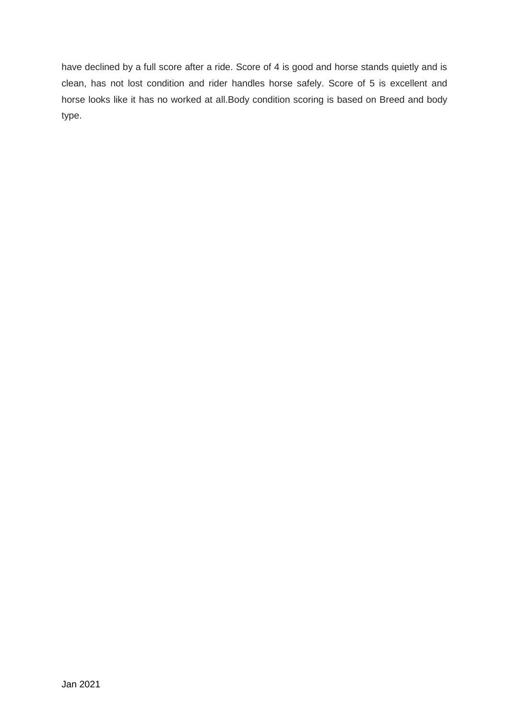have declined by a full score after a ride. Score of 4 is good and horse stands quietly and is clean, has not lost condition and rider handles horse safely. Score of 5 is excellent and horse looks like it has no worked at all.Body condition scoring is based on Breed and body type.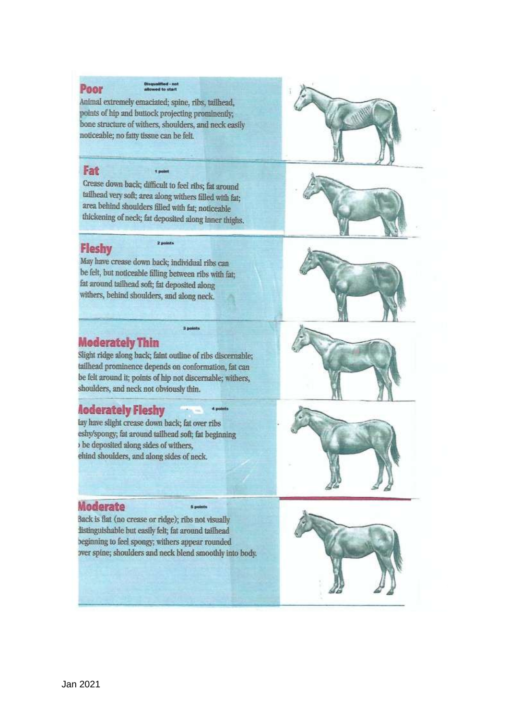Animal extremely emaciated; spine, ribs, tailhead, points of hip and buttock projecting prominently; bone structure of withers, shoulders, and neck easily noticeable; no fatty tissue can be felt.

#### Fat

Poor

Crease down back; difficult to feel ribs; fat around tailhead very soft; area along withers filled with fat; area behind shoulders filled with fat; noticeable thickening of neck; fat deposited along inner thighs.

i.

# **Fleshy**

**2 minute** 

May have crease down back; individual ribs can be felt, but noticeable filling between ribs with fat; fat around tailhead soft; fat deposited along withers, behind shoulders, and along neck.



# **Moderately Thin**

Slight ridge along back; faint outline of ribs discernable: tailhead prominence depends on conformation, fat can be felt around it; points of hip not discernable; withers, shoulders, and neck not obviously thin.

3 points

4 points

# **Aoderately Fleshy**

lay have slight crease down back; fat over ribs eshy/spongy; fat around tailhead soft; fat beginning be deposited along sides of withers, ehind shoulders, and along sides of neck.

#### Moderate

Back is flat (no crease or ridge); ribs not visually listinguishable but easily felt; fat around tailhead beginning to feel spongy; withers appear rounded over spine; shoulders and neck blend smoothly into body.

5 points





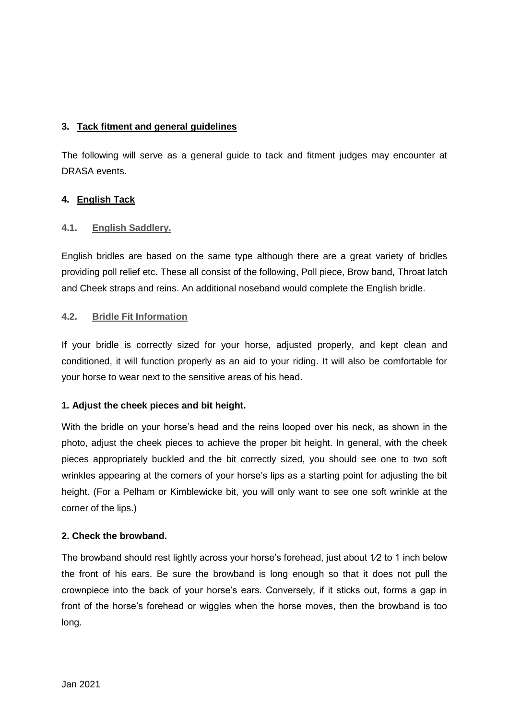# <span id="page-11-0"></span>**3. Tack fitment and general guidelines**

The following will serve as a general guide to tack and fitment judges may encounter at DRASA events.

# <span id="page-11-1"></span>**4. English Tack**

# <span id="page-11-2"></span>**4.1. English Saddlery.**

English bridles are based on the same type although there are a great variety of bridles providing poll relief etc. These all consist of the following, Poll piece, Brow band, Throat latch and Cheek straps and reins. An additional noseband would complete the English bridle.

#### <span id="page-11-3"></span>**4.2. Bridle Fit Information**

If your bridle is correctly sized for your horse, adjusted properly, and kept clean and conditioned, it will function properly as an aid to your riding. It will also be comfortable for your horse to wear next to the sensitive areas of his head.

# **1. Adjust the cheek pieces and bit height.**

With the bridle on your horse's head and the reins looped over his neck, as shown in the photo, adjust the cheek pieces to achieve the proper bit height. In general, with the cheek pieces appropriately buckled and the bit correctly sized, you should see one to two soft wrinkles appearing at the corners of your horse's lips as a starting point for adjusting the bit height. (For a Pelham or Kimblewicke bit, you will only want to see one soft wrinkle at the corner of the lips.)

#### **2. Check the browband.**

The browband should rest lightly across your horse's forehead, just about  $1/2$  to 1 inch below the front of his ears. Be sure the browband is long enough so that it does not pull the crownpiece into the back of your horse's ears. Conversely, if it sticks out, forms a gap in front of the horse's forehead or wiggles when the horse moves, then the browband is too long.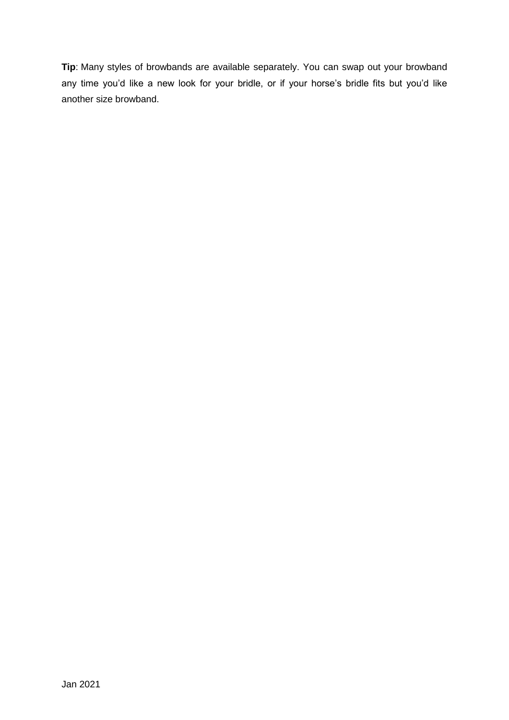**Tip**: Many styles of browbands are available separately. You can swap out your browband any time you'd like a new look for your bridle, or if your horse's bridle fits but you'd like another size browband.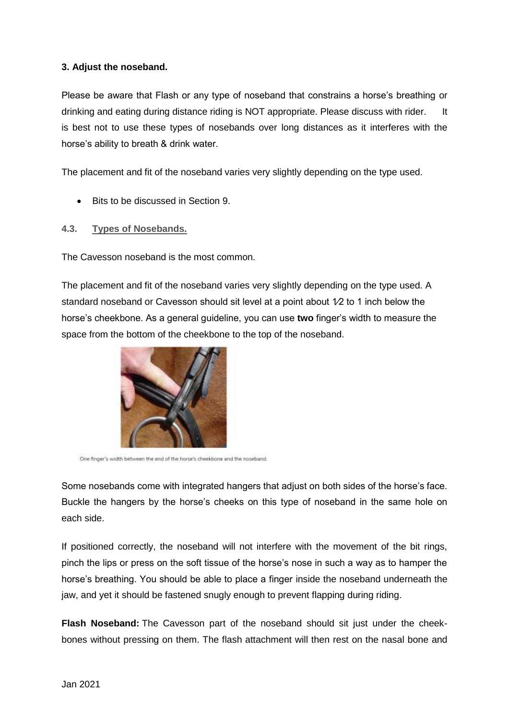# **3. Adjust the noseband.**

Please be aware that Flash or any type of noseband that constrains a horse's breathing or drinking and eating during distance riding is NOT appropriate. Please discuss with rider. It is best not to use these types of nosebands over long distances as it interferes with the horse's ability to breath & drink water.

The placement and fit of the noseband varies very slightly depending on the type used.

- Bits to be discussed in Section 9.
- <span id="page-13-0"></span>**4.3. Types of Nosebands.**

The Cavesson noseband is the most common.

The placement and fit of the noseband varies very slightly depending on the type used. A standard noseband or Cavesson should sit level at a point about 1⁄2 to 1 inch below the horse's cheekbone. As a general guideline, you can use **two** finger's width to measure the space from the bottom of the cheekbone to the top of the noseband.



One finger's width between the end of the horse's cheekbone and the noseband.

Some nosebands come with integrated hangers that adjust on both sides of the horse's face. Buckle the hangers by the horse's cheeks on this type of noseband in the same hole on each side.

If positioned correctly, the noseband will not interfere with the movement of the bit rings, pinch the lips or press on the soft tissue of the horse's nose in such a way as to hamper the horse's breathing. You should be able to place a finger inside the noseband underneath the jaw, and yet it should be fastened snugly enough to prevent flapping during riding.

**Flash Noseband:** The Cavesson part of the noseband should sit just under the cheekbones without pressing on them. The flash attachment will then rest on the nasal bone and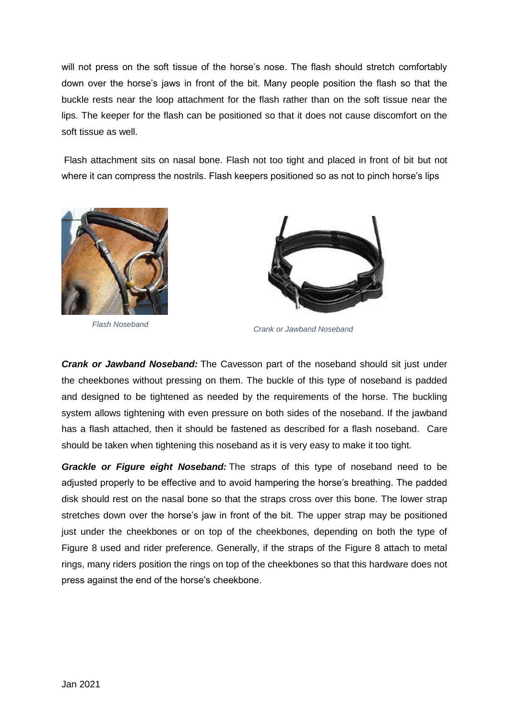will not press on the soft tissue of the horse's nose. The flash should stretch comfortably down over the horse's jaws in front of the bit. Many people position the flash so that the buckle rests near the loop attachment for the flash rather than on the soft tissue near the lips. The keeper for the flash can be positioned so that it does not cause discomfort on the soft tissue as well.

Flash attachment sits on nasal bone. Flash not too tight and placed in front of bit but not where it can compress the nostrils. Flash keepers positioned so as not to pinch horse's lips



*Flash Noseband*



*Crank or Jawband Noseband*

*Crank or Jawband Noseband:* The Cavesson part of the noseband should sit just under the cheekbones without pressing on them. The buckle of this type of noseband is padded and designed to be tightened as needed by the requirements of the horse. The buckling system allows tightening with even pressure on both sides of the noseband. If the jawband has a flash attached, then it should be fastened as described for a flash noseband. Care should be taken when tightening this noseband as it is very easy to make it too tight.

*Grackle or Figure eight Noseband:* The straps of this type of noseband need to be adjusted properly to be effective and to avoid hampering the horse's breathing. The padded disk should rest on the nasal bone so that the straps cross over this bone. The lower strap stretches down over the horse's jaw in front of the bit. The upper strap may be positioned just under the cheekbones or on top of the cheekbones, depending on both the type of Figure 8 used and rider preference. Generally, if the straps of the Figure 8 attach to metal rings, many riders position the rings on top of the cheekbones so that this hardware does not press against the end of the horse's cheekbone.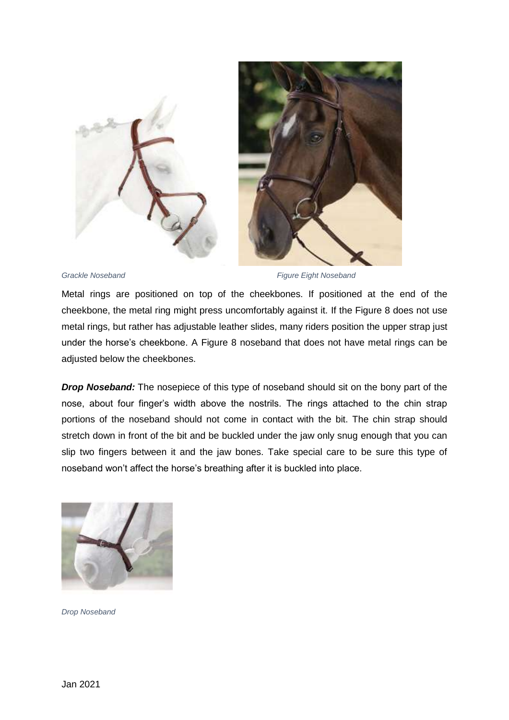



*Grackle Noseband Figure Eight Noseband*

Metal rings are positioned on top of the cheekbones. If positioned at the end of the cheekbone, the metal ring might press uncomfortably against it. If the Figure 8 does not use metal rings, but rather has adjustable leather slides, many riders position the upper strap just under the horse's cheekbone. A Figure 8 noseband that does not have metal rings can be adjusted below the cheekbones.

*Drop Noseband:* The nosepiece of this type of noseband should sit on the bony part of the nose, about four finger's width above the nostrils. The rings attached to the chin strap portions of the noseband should not come in contact with the bit. The chin strap should stretch down in front of the bit and be buckled under the jaw only snug enough that you can slip two fingers between it and the jaw bones. Take special care to be sure this type of noseband won't affect the horse's breathing after it is buckled into place.



*Drop Noseband*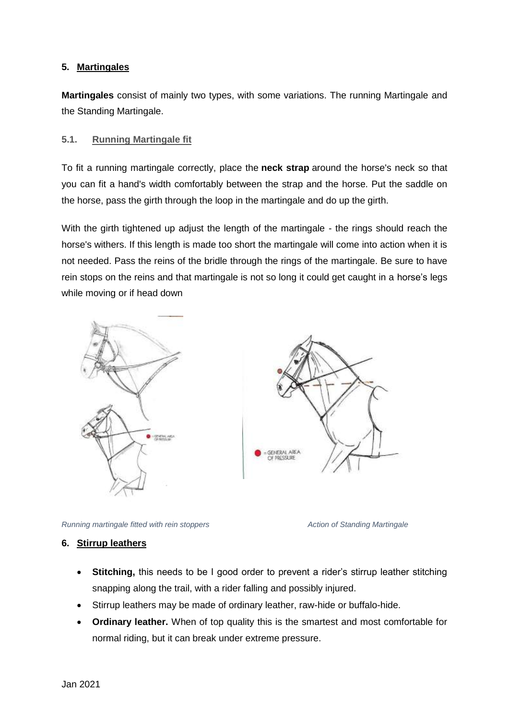# <span id="page-16-0"></span>**5. Martingales**

**Martingales** consist of mainly two types, with some variations. The running Martingale and the Standing Martingale.

# <span id="page-16-1"></span>**5.1. Running Martingale fit**

To fit a running martingale correctly, place the **neck strap** around the horse's neck so that you can fit a hand's width comfortably between the strap and the horse. Put the saddle on the horse, pass the girth through the loop in the martingale and do up the girth.

With the girth tightened up adjust the length of the martingale - the rings should reach the horse's withers. If this length is made too short the martingale will come into action when it is not needed. Pass the reins of the bridle through the rings of the martingale. Be sure to have rein stops on the reins and that martingale is not so long it could get caught in a horse's legs while moving or if head down



*Running martingale fitted with rein stoppers Action of Standing Martingale*

#### <span id="page-16-2"></span>**6. Stirrup leathers**

- **Stitching,** this needs to be I good order to prevent a rider's stirrup leather stitching snapping along the trail, with a rider falling and possibly injured.
- Stirrup leathers may be made of ordinary leather, raw-hide or buffalo-hide.
- **Ordinary leather.** When of top quality this is the smartest and most comfortable for normal riding, but it can break under extreme pressure.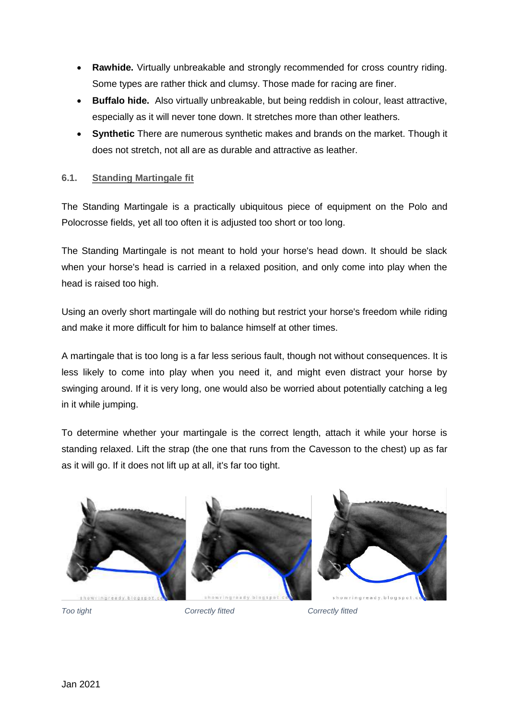- **Rawhide.** Virtually unbreakable and strongly recommended for cross country riding. Some types are rather thick and clumsy. Those made for racing are finer.
- **Buffalo hide.** Also virtually unbreakable, but being reddish in colour, least attractive, especially as it will never tone down. It stretches more than other leathers.
- **Synthetic** There are numerous synthetic makes and brands on the market. Though it does not stretch, not all are as durable and attractive as leather.

# <span id="page-17-0"></span>**6.1. Standing Martingale fit**

The Standing Martingale is a practically ubiquitous piece of equipment on the Polo and Polocrosse fields, yet all too often it is adjusted too short or too long.

The Standing Martingale is not meant to hold your horse's head down. It should be slack when your horse's head is carried in a relaxed position, and only come into play when the head is raised too high.

Using an overly short martingale will do nothing but restrict your horse's freedom while riding and make it more difficult for him to balance himself at other times.

A martingale that is too long is a far less serious fault, though not without consequences. It is less likely to come into play when you need it, and might even distract your horse by swinging around. If it is very long, one would also be worried about potentially catching a leg in it while jumping.

To determine whether your martingale is the correct length, attach it while your horse is standing relaxed. Lift the strap (the one that runs from the Cavesson to the chest) up as far as it will go. If it does not lift up at all, it's far too tight.



*Too tight Correctly fitted Correctly fitted*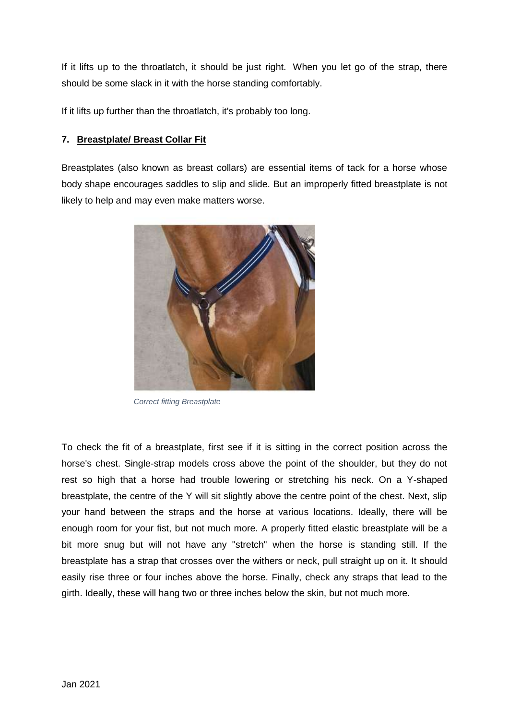If it lifts up to the throatlatch, it should be just right. When you let go of the strap, there should be some slack in it with the horse standing comfortably.

If it lifts up further than the throatlatch, it's probably too long.

# <span id="page-18-0"></span>**7. Breastplate/ Breast Collar Fit**

Breastplates (also known as breast collars) are essential items of tack for a horse whose body shape encourages saddles to slip and slide. But an improperly fitted breastplate is not likely to help and may even make matters worse.



*Correct fitting Breastplate*

To check the fit of a breastplate, first see if it is sitting in the correct position across the horse's chest. Single-strap models cross above the point of the shoulder, but they do not rest so high that a horse had trouble lowering or stretching his neck. On a Y-shaped breastplate, the centre of the Y will sit slightly above the centre point of the chest. Next, slip your hand between the straps and the horse at various locations. Ideally, there will be enough room for your fist, but not much more. A properly fitted elastic breastplate will be a bit more snug but will not have any "stretch" when the horse is standing still. If the breastplate has a strap that crosses over the withers or neck, pull straight up on it. It should easily rise three or four inches above the horse. Finally, check any straps that lead to the girth. Ideally, these will hang two or three inches below the skin, but not much more.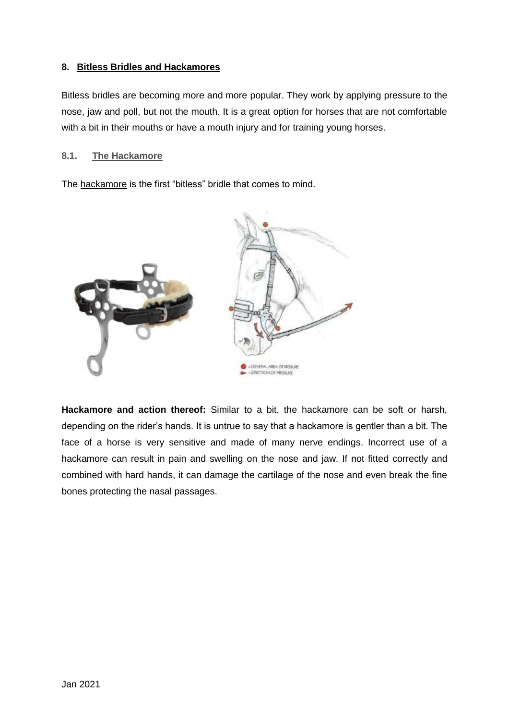# <span id="page-19-0"></span>**8. Bitless Bridles and Hackamores**

Bitless bridles are becoming more and more popular. They work by applying pressure to the nose, jaw and poll, but not the mouth. It is a great option for horses that are not comfortable with a bit in their mouths or have a mouth injury and for training young horses.

#### <span id="page-19-1"></span>**8.1. The Hackamore**

The [hackamore](http://www.tackandtuck.co.za/products/bits/hackamore) is the first "bitless" bridle that comes to mind.



**Hackamore and action thereof:** Similar to a bit, the hackamore can be soft or harsh, depending on the rider's hands. It is untrue to say that a hackamore is gentler than a bit. The face of a horse is very sensitive and made of many nerve endings. Incorrect use of a hackamore can result in pain and swelling on the nose and jaw. If not fitted correctly and combined with hard hands, it can damage the cartilage of the nose and even break the fine bones protecting the nasal passages.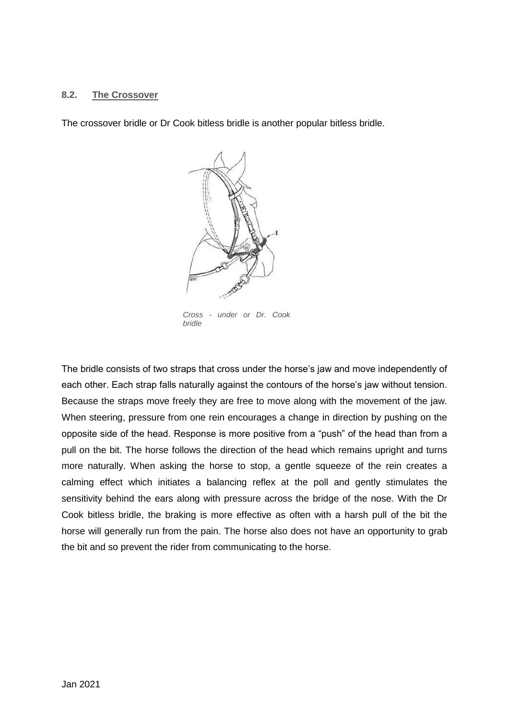#### <span id="page-20-0"></span>**8.2. The Crossover**

The crossover bridle or Dr Cook bitless bridle is another popular bitless bridle.



The bridle consists of two straps that cross under the horse's jaw and move independently of each other. Each strap falls naturally against the contours of the horse's jaw without tension. Because the straps move freely they are free to move along with the movement of the jaw. When steering, pressure from one rein encourages a change in direction by pushing on the opposite side of the head. Response is more positive from a "push" of the head than from a pull on the bit. The horse follows the direction of the head which remains upright and turns more naturally. When asking the horse to stop, a gentle squeeze of the rein creates a calming effect which initiates a balancing reflex at the poll and gently stimulates the sensitivity behind the ears along with pressure across the bridge of the nose. With the Dr Cook bitless bridle, the braking is more effective as often with a harsh pull of the bit the horse will generally run from the pain. The horse also does not have an opportunity to grab the bit and so prevent the rider from communicating to the horse.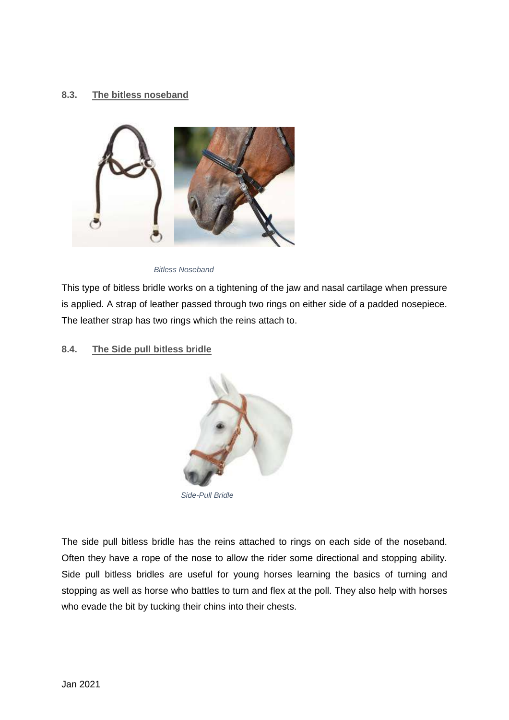# <span id="page-21-0"></span>**8.3. The bitless noseband**



*Bitless Noseband*

This type of bitless bridle works on a tightening of the jaw and nasal cartilage when pressure is applied. A strap of leather passed through two rings on either side of a padded nosepiece. The leather strap has two rings which the reins attach to.

#### <span id="page-21-1"></span>**8.4. The Side pull bitless bridle**



*Side-Pull Bridle*

The side pull bitless bridle has the reins attached to rings on each side of the noseband. Often they have a rope of the nose to allow the rider some directional and stopping ability. Side pull bitless bridles are useful for young horses learning the basics of turning and stopping as well as horse who battles to turn and flex at the poll. They also help with horses who evade the bit by tucking their chins into their chests.